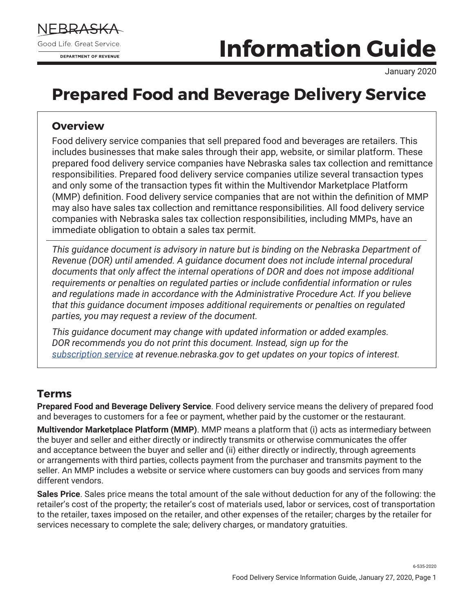

# **Information Guide**

January 2020

## **Prepared Food and Beverage Delivery Service**

## **Overview**

Food delivery service companies that sell prepared food and beverages are retailers. This includes businesses that make sales through their app, website, or similar platform. These prepared food delivery service companies have Nebraska sales tax collection and remittance responsibilities. Prepared food delivery service companies utilize several transaction types and only some of the transaction types fit within the Multivendor Marketplace Platform (MMP) definition. Food delivery service companies that are not within the definition of MMP may also have sales tax collection and remittance responsibilities. All food delivery service companies with Nebraska sales tax collection responsibilities, including MMPs, have an immediate obligation to obtain a sales tax permit.

*This guidance document is advisory in nature but is binding on the Nebraska Department of Revenue (DOR) until amended. A guidance document does not include internal procedural documents that only affect the internal operations of DOR and does not impose additional requirements or penalties on regulated parties or include confidential information or rules and regulations made in accordance with the Administrative Procedure Act. If you believe that this guidance document imposes additional requirements or penalties on regulated parties, you may request a review of the document.*

*This guidance document may change with updated information or added examples. DOR recommends you do not print this document. Instead, sign up for the [subscription service](https://public.govdelivery.com/accounts/NEREV/subscriber/new) at revenue.nebraska.gov to get updates on your topics of interest.*

## **Terms**

**Prepared Food and Beverage Delivery Service**. Food delivery service means the delivery of prepared food and beverages to customers for a fee or payment, whether paid by the customer or the restaurant.

**Multivendor Marketplace Platform (MMP)**. MMP means a platform that (i) acts as intermediary between the buyer and seller and either directly or indirectly transmits or otherwise communicates the offer and acceptance between the buyer and seller and (ii) either directly or indirectly, through agreements or arrangements with third parties, collects payment from the purchaser and transmits payment to the seller. An MMP includes a website or service where customers can buy goods and services from many different vendors.

**Sales Price**. Sales price means the total amount of the sale without deduction for any of the following: the retailer's cost of the property; the retailer's cost of materials used, labor or services, cost of transportation to the retailer, taxes imposed on the retailer, and other expenses of the retailer; charges by the retailer for services necessary to complete the sale; delivery charges, or mandatory gratuities.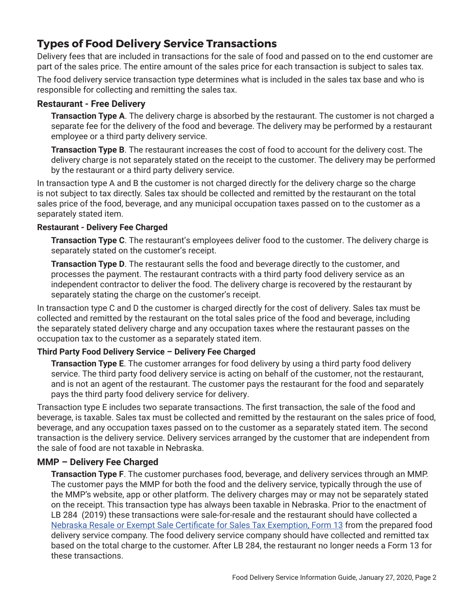## **Types of Food Delivery Service Transactions**

Delivery fees that are included in transactions for the sale of food and passed on to the end customer are part of the sales price. The entire amount of the sales price for each transaction is subject to sales tax.

The food delivery service transaction type determines what is included in the sales tax base and who is responsible for collecting and remitting the sales tax.

#### **Restaurant - Free Delivery**

**Transaction Type A**. The delivery charge is absorbed by the restaurant. The customer is not charged a separate fee for the delivery of the food and beverage. The delivery may be performed by a restaurant employee or a third party delivery service.

**Transaction Type B**. The restaurant increases the cost of food to account for the delivery cost. The delivery charge is not separately stated on the receipt to the customer. The delivery may be performed by the restaurant or a third party delivery service.

In transaction type A and B the customer is not charged directly for the delivery charge so the charge is not subject to tax directly. Sales tax should be collected and remitted by the restaurant on the total sales price of the food, beverage, and any municipal occupation taxes passed on to the customer as a separately stated item.

#### **Restaurant - Delivery Fee Charged**

**Transaction Type C**. The restaurant's employees deliver food to the customer. The delivery charge is separately stated on the customer's receipt.

**Transaction Type D**. The restaurant sells the food and beverage directly to the customer, and processes the payment. The restaurant contracts with a third party food delivery service as an independent contractor to deliver the food. The delivery charge is recovered by the restaurant by separately stating the charge on the customer's receipt.

In transaction type C and D the customer is charged directly for the cost of delivery. Sales tax must be collected and remitted by the restaurant on the total sales price of the food and beverage, including the separately stated delivery charge and any occupation taxes where the restaurant passes on the occupation tax to the customer as a separately stated item.

#### **Third Party Food Delivery Service – Delivery Fee Charged**

**Transaction Type E**. The customer arranges for food delivery by using a third party food delivery service. The third party food delivery service is acting on behalf of the customer, not the restaurant, and is not an agent of the restaurant. The customer pays the restaurant for the food and separately pays the third party food delivery service for delivery.

Transaction type E includes two separate transactions. The first transaction, the sale of the food and beverage, is taxable. Sales tax must be collected and remitted by the restaurant on the sales price of food, beverage, and any occupation taxes passed on to the customer as a separately stated item. The second transaction is the delivery service. Delivery services arranged by the customer that are independent from the sale of food are not taxable in Nebraska.

#### **MMP – Delivery Fee Charged**

**Transaction Type F**. The customer purchases food, beverage, and delivery services through an MMP. The customer pays the MMP for both the food and the delivery service, typically through the use of the MMP's website, app or other platform. The delivery charges may or may not be separately stated on the receipt. This transaction type has always been taxable in Nebraska. Prior to the enactment of LB 284 (2019) these transactions were sale-for-resale and the restaurant should have collected a [Nebraska Resale or Exempt Sale Certificate for Sales Tax Exemption, Form 13](https://revenue.nebraska.gov/files/doc/tax-forms/f_13.pdf) from the prepared food delivery service company. The food delivery service company should have collected and remitted tax based on the total charge to the customer. After LB 284, the restaurant no longer needs a Form 13 for these transactions.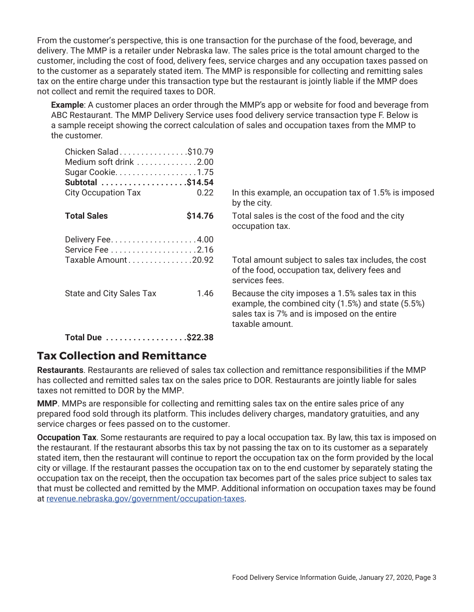From the customer's perspective, this is one transaction for the purchase of the food, beverage, and delivery. The MMP is a retailer under Nebraska law. The sales price is the total amount charged to the customer, including the cost of food, delivery fees, service charges and any occupation taxes passed on to the customer as a separately stated item. The MMP is responsible for collecting and remitting sales tax on the entire charge under this transaction type but the restaurant is jointly liable if the MMP does not collect and remit the required taxes to DOR.

**Example**: A customer places an order through the MMP's app or website for food and beverage from ABC Restaurant. The MMP Delivery Service uses food delivery service transaction type F. Below is a sample receipt showing the correct calculation of sales and occupation taxes from the MMP to the customer.

| 0.22                                                                                | In this example, an occupation tax of 1.5% is imposed<br>by the city.                                                                                                      |
|-------------------------------------------------------------------------------------|----------------------------------------------------------------------------------------------------------------------------------------------------------------------------|
| \$14.76                                                                             | Total sales is the cost of the food and the city<br>occupation tax.                                                                                                        |
|                                                                                     |                                                                                                                                                                            |
|                                                                                     |                                                                                                                                                                            |
|                                                                                     | Total amount subject to sales tax includes, the cost<br>of the food, occupation tax, delivery fees and<br>services fees.                                                   |
| 1.46                                                                                | Because the city imposes a 1.5% sales tax in this<br>example, the combined city (1.5%) and state (5.5%)<br>sales tax is 7% and is imposed on the entire<br>taxable amount. |
|                                                                                     |                                                                                                                                                                            |
| <b>City Occupation Tax</b><br><b>Total Sales</b><br><b>State and City Sales Tax</b> | Chicken Salad\$10.79<br>Medium soft drink 2.00<br>Subtotal \$14.54<br>Taxable Amount 20.92<br>Total Due \$22.38                                                            |

#### **Tax Collection and Remittance**

**Restaurants**. Restaurants are relieved of sales tax collection and remittance responsibilities if the MMP has collected and remitted sales tax on the sales price to DOR. Restaurants are jointly liable for sales taxes not remitted to DOR by the MMP.

**MMP**. MMPs are responsible for collecting and remitting sales tax on the entire sales price of any prepared food sold through its platform. This includes delivery charges, mandatory gratuities, and any service charges or fees passed on to the customer.

**Occupation Tax**. Some restaurants are required to pay a local occupation tax. By law, this tax is imposed on the restaurant. If the restaurant absorbs this tax by not passing the tax on to its customer as a separately stated item, then the restaurant will continue to report the occupation tax on the form provided by the local city or village. If the restaurant passes the occupation tax on to the end customer by separately stating the occupation tax on the receipt, then the occupation tax becomes part of the sales price subject to sales tax that must be collected and remitted by the MMP. Additional information on occupation taxes may be found at r[evenue.nebraska.gov/government/occupation-taxes.](https://revenue.nebraska.gov/government/occupation-taxes)